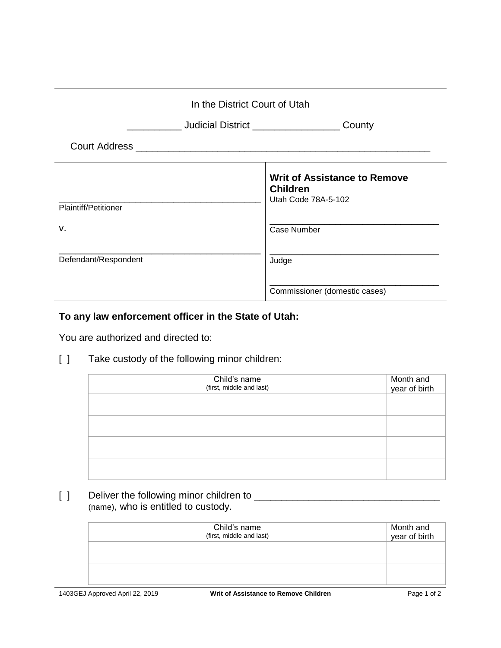| In the District Court of Utah      |                                                                               |  |
|------------------------------------|-------------------------------------------------------------------------------|--|
| Judicial District ________________ | County                                                                        |  |
|                                    |                                                                               |  |
| Plaintiff/Petitioner               | <b>Writ of Assistance to Remove</b><br><b>Children</b><br>Utah Code 78A-5-102 |  |
| v.                                 | Case Number                                                                   |  |
| Defendant/Respondent               | Judge                                                                         |  |
|                                    | Commissioner (domestic cases)                                                 |  |

## **To any law enforcement officer in the State of Utah:**

You are authorized and directed to:

[ ] Take custody of the following minor children:

| Child's name<br>(first, middle and last) | Month and<br>year of birth |
|------------------------------------------|----------------------------|
|                                          |                            |
|                                          |                            |
|                                          |                            |
|                                          |                            |

[ ] Deliver the following minor children to \_\_\_\_\_\_\_\_\_\_\_\_\_\_\_\_\_\_\_\_\_\_\_\_\_\_\_\_\_\_\_\_\_\_ (name), who is entitled to custody.

| Child's name<br>(first, middle and last) | Month and<br>year of birth |
|------------------------------------------|----------------------------|
|                                          |                            |
|                                          |                            |